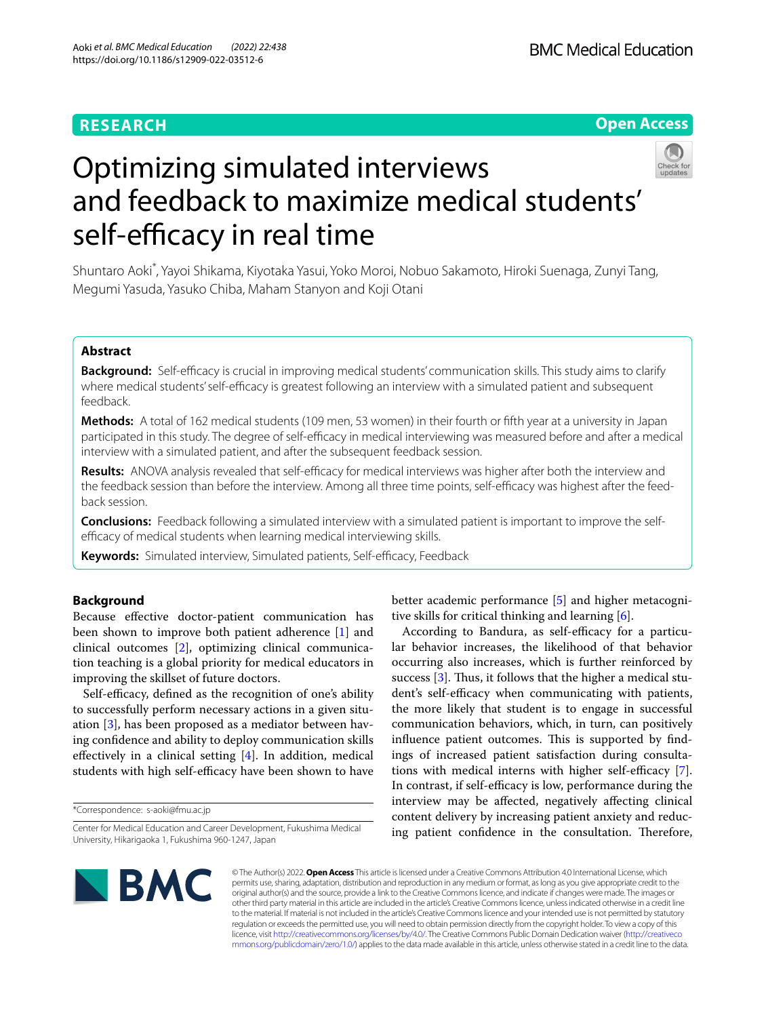# **RESEARCH**

# **Open Access**



# Optimizing simulated interviews and feedback to maximize medical students' self-efficacy in real time

Shuntaro Aoki\* , Yayoi Shikama, Kiyotaka Yasui, Yoko Moroi, Nobuo Sakamoto, Hiroki Suenaga, Zunyi Tang, Megumi Yasuda, Yasuko Chiba, Maham Stanyon and Koji Otani

# **Abstract**

**Background:** Self-efcacy is crucial in improving medical students' communication skills. This study aims to clarify where medical students' self-efficacy is greatest following an interview with a simulated patient and subsequent feedback.

**Methods:** A total of 162 medical students (109 men, 53 women) in their fourth or ffth year at a university in Japan participated in this study. The degree of self-efficacy in medical interviewing was measured before and after a medical interview with a simulated patient, and after the subsequent feedback session.

**Results:** ANOVA analysis revealed that self-efficacy for medical interviews was higher after both the interview and the feedback session than before the interview. Among all three time points, self-efficacy was highest after the feedback session.

**Conclusions:** Feedback following a simulated interview with a simulated patient is important to improve the selfefficacy of medical students when learning medical interviewing skills.

Keywords: Simulated interview, Simulated patients, Self-efficacy, Feedback

# **Background**

Because efective doctor-patient communication has been shown to improve both patient adherence [[1\]](#page-4-0) and clinical outcomes [\[2\]](#page-4-1), optimizing clinical communication teaching is a global priority for medical educators in improving the skillset of future doctors.

Self-efficacy, defined as the recognition of one's ability to successfully perform necessary actions in a given situation [\[3](#page-4-2)], has been proposed as a mediator between having confdence and ability to deploy communication skills efectively in a clinical setting [[4\]](#page-4-3). In addition, medical students with high self-efficacy have been shown to have

\*Correspondence: s-aoki@fmu.ac.jp

better academic performance [[5\]](#page-4-4) and higher metacognitive skills for critical thinking and learning [[6\]](#page-4-5).

According to Bandura, as self-efficacy for a particular behavior increases, the likelihood of that behavior occurring also increases, which is further reinforced by success  $[3]$  $[3]$ . Thus, it follows that the higher a medical student's self-efficacy when communicating with patients, the more likely that student is to engage in successful communication behaviors, which, in turn, can positively influence patient outcomes. This is supported by findings of increased patient satisfaction during consulta-tions with medical interns with higher self-efficacy [\[7](#page-4-6)]. In contrast, if self-efficacy is low, performance during the interview may be afected, negatively afecting clinical content delivery by increasing patient anxiety and reducing patient confidence in the consultation. Therefore,



© The Author(s) 2022. **Open Access** This article is licensed under a Creative Commons Attribution 4.0 International License, which permits use, sharing, adaptation, distribution and reproduction in any medium or format, as long as you give appropriate credit to the original author(s) and the source, provide a link to the Creative Commons licence, and indicate if changes were made. The images or other third party material in this article are included in the article's Creative Commons licence, unless indicated otherwise in a credit line to the material. If material is not included in the article's Creative Commons licence and your intended use is not permitted by statutory regulation or exceeds the permitted use, you will need to obtain permission directly from the copyright holder. To view a copy of this licence, visit [http://creativecommons.org/licenses/by/4.0/.](http://creativecommons.org/licenses/by/4.0/) The Creative Commons Public Domain Dedication waiver ([http://creativeco](http://creativecommons.org/publicdomain/zero/1.0/) [mmons.org/publicdomain/zero/1.0/](http://creativecommons.org/publicdomain/zero/1.0/)) applies to the data made available in this article, unless otherwise stated in a credit line to the data.

Center for Medical Education and Career Development, Fukushima Medical University, Hikarigaoka 1, Fukushima 960-1247, Japan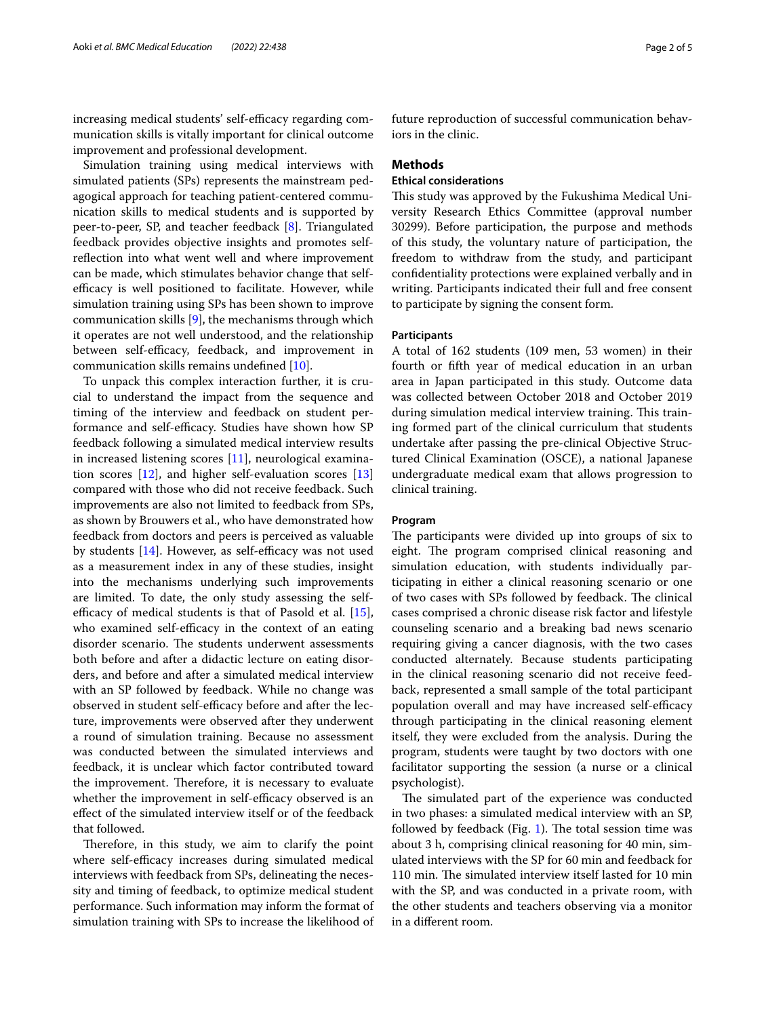increasing medical students' self-efficacy regarding communication skills is vitally important for clinical outcome improvement and professional development.

Simulation training using medical interviews with simulated patients (SPs) represents the mainstream pedagogical approach for teaching patient-centered communication skills to medical students and is supported by peer-to-peer, SP, and teacher feedback [\[8](#page-4-7)]. Triangulated feedback provides objective insights and promotes selfreflection into what went well and where improvement can be made, which stimulates behavior change that selfefficacy is well positioned to facilitate. However, while simulation training using SPs has been shown to improve communication skills [\[9](#page-4-8)], the mechanisms through which it operates are not well understood, and the relationship between self-efficacy, feedback, and improvement in communication skills remains undefned [\[10\]](#page-4-9).

To unpack this complex interaction further, it is crucial to understand the impact from the sequence and timing of the interview and feedback on student performance and self-efficacy. Studies have shown how SP feedback following a simulated medical interview results in increased listening scores [\[11\]](#page-4-10), neurological examination scores  $[12]$  $[12]$ , and higher self-evaluation scores  $[13]$  $[13]$  $[13]$ compared with those who did not receive feedback. Such improvements are also not limited to feedback from SPs, as shown by Brouwers et al., who have demonstrated how feedback from doctors and peers is perceived as valuable by students  $[14]$ . However, as self-efficacy was not used as a measurement index in any of these studies, insight into the mechanisms underlying such improvements are limited. To date, the only study assessing the selfefficacy of medical students is that of Pasold et al.  $[15]$  $[15]$ , who examined self-efficacy in the context of an eating disorder scenario. The students underwent assessments both before and after a didactic lecture on eating disorders, and before and after a simulated medical interview with an SP followed by feedback. While no change was observed in student self-efficacy before and after the lecture, improvements were observed after they underwent a round of simulation training. Because no assessment was conducted between the simulated interviews and feedback, it is unclear which factor contributed toward the improvement. Therefore, it is necessary to evaluate whether the improvement in self-efficacy observed is an efect of the simulated interview itself or of the feedback that followed.

Therefore, in this study, we aim to clarify the point where self-efficacy increases during simulated medical interviews with feedback from SPs, delineating the necessity and timing of feedback, to optimize medical student performance. Such information may inform the format of simulation training with SPs to increase the likelihood of future reproduction of successful communication behaviors in the clinic.

## **Methods**

# **Ethical considerations**

This study was approved by the Fukushima Medical University Research Ethics Committee (approval number 30299). Before participation, the purpose and methods of this study, the voluntary nature of participation, the freedom to withdraw from the study, and participant confdentiality protections were explained verbally and in writing. Participants indicated their full and free consent to participate by signing the consent form.

## **Participants**

A total of 162 students (109 men, 53 women) in their fourth or ffth year of medical education in an urban area in Japan participated in this study. Outcome data was collected between October 2018 and October 2019 during simulation medical interview training. This training formed part of the clinical curriculum that students undertake after passing the pre-clinical Objective Structured Clinical Examination (OSCE), a national Japanese undergraduate medical exam that allows progression to clinical training.

### **Program**

The participants were divided up into groups of six to eight. The program comprised clinical reasoning and simulation education, with students individually participating in either a clinical reasoning scenario or one of two cases with SPs followed by feedback. The clinical cases comprised a chronic disease risk factor and lifestyle counseling scenario and a breaking bad news scenario requiring giving a cancer diagnosis, with the two cases conducted alternately. Because students participating in the clinical reasoning scenario did not receive feedback, represented a small sample of the total participant population overall and may have increased self-efficacy through participating in the clinical reasoning element itself, they were excluded from the analysis. During the program, students were taught by two doctors with one facilitator supporting the session (a nurse or a clinical psychologist).

The simulated part of the experience was conducted in two phases: a simulated medical interview with an SP, followed by feedback (Fig.  $1$ ). The total session time was about 3 h, comprising clinical reasoning for 40 min, simulated interviews with the SP for 60 min and feedback for 110 min. The simulated interview itself lasted for 10 min with the SP, and was conducted in a private room, with the other students and teachers observing via a monitor in a diferent room.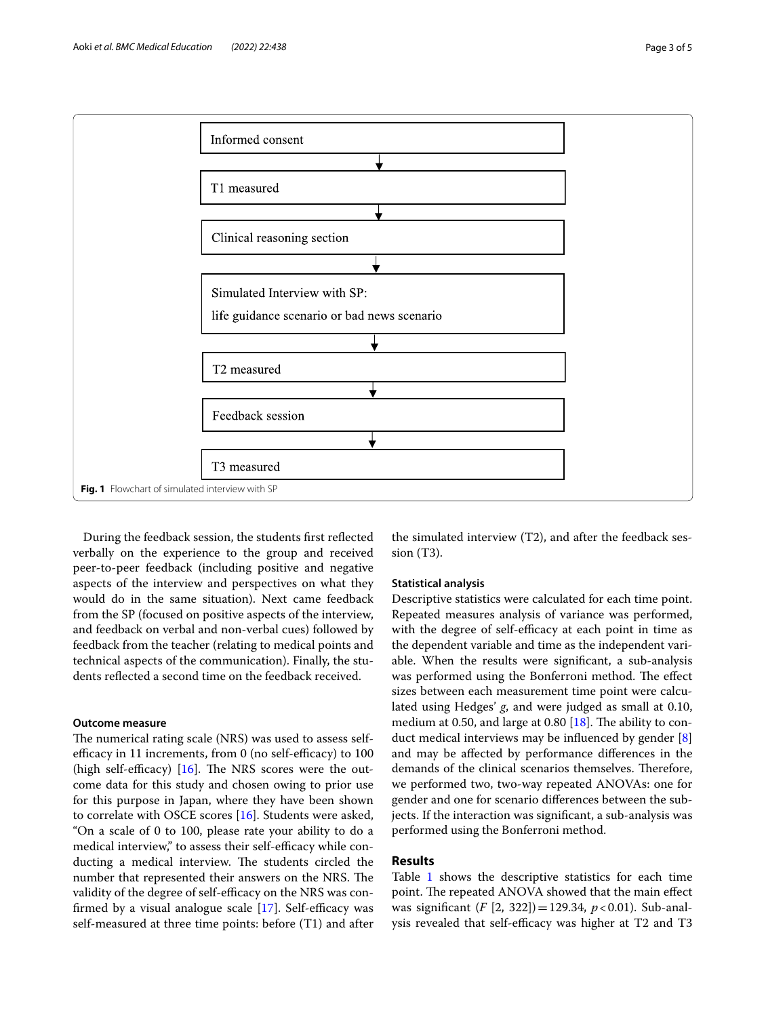

<span id="page-2-0"></span>During the feedback session, the students frst refected verbally on the experience to the group and received peer-to-peer feedback (including positive and negative aspects of the interview and perspectives on what they would do in the same situation). Next came feedback from the SP (focused on positive aspects of the interview, and feedback on verbal and non-verbal cues) followed by feedback from the teacher (relating to medical points and technical aspects of the communication). Finally, the students refected a second time on the feedback received.

## **Outcome measure**

The numerical rating scale (NRS) was used to assess selfefficacy in 11 increments, from  $0$  (no self-efficacy) to  $100$ (high self-efficacy)  $[16]$  $[16]$ . The NRS scores were the outcome data for this study and chosen owing to prior use for this purpose in Japan, where they have been shown to correlate with OSCE scores [[16](#page-4-15)]. Students were asked, "On a scale of 0 to 100, please rate your ability to do a medical interview," to assess their self-efficacy while conducting a medical interview. The students circled the number that represented their answers on the NRS. The validity of the degree of self-efficacy on the NRS was confirmed by a visual analogue scale  $[17]$  $[17]$ . Self-efficacy was self-measured at three time points: before (T1) and after

the simulated interview (T2), and after the feedback session (T3).

## **Statistical analysis**

Descriptive statistics were calculated for each time point. Repeated measures analysis of variance was performed, with the degree of self-efficacy at each point in time as the dependent variable and time as the independent variable. When the results were signifcant, a sub-analysis was performed using the Bonferroni method. The effect sizes between each measurement time point were calculated using Hedges' *g*, and were judged as small at 0.10, medium at 0.50, and large at 0.80  $[18]$ . The ability to conduct medical interviews may be infuenced by gender [\[8](#page-4-7)] and may be afected by performance diferences in the demands of the clinical scenarios themselves. Therefore, we performed two, two-way repeated ANOVAs: one for gender and one for scenario diferences between the subjects. If the interaction was signifcant, a sub-analysis was performed using the Bonferroni method.

# **Results**

Table [1](#page-3-0) shows the descriptive statistics for each time point. The repeated ANOVA showed that the main effect was signifcant (*F* [2, 322])=129.34, *p*<0.01). Sub-analysis revealed that self-efficacy was higher at T2 and T3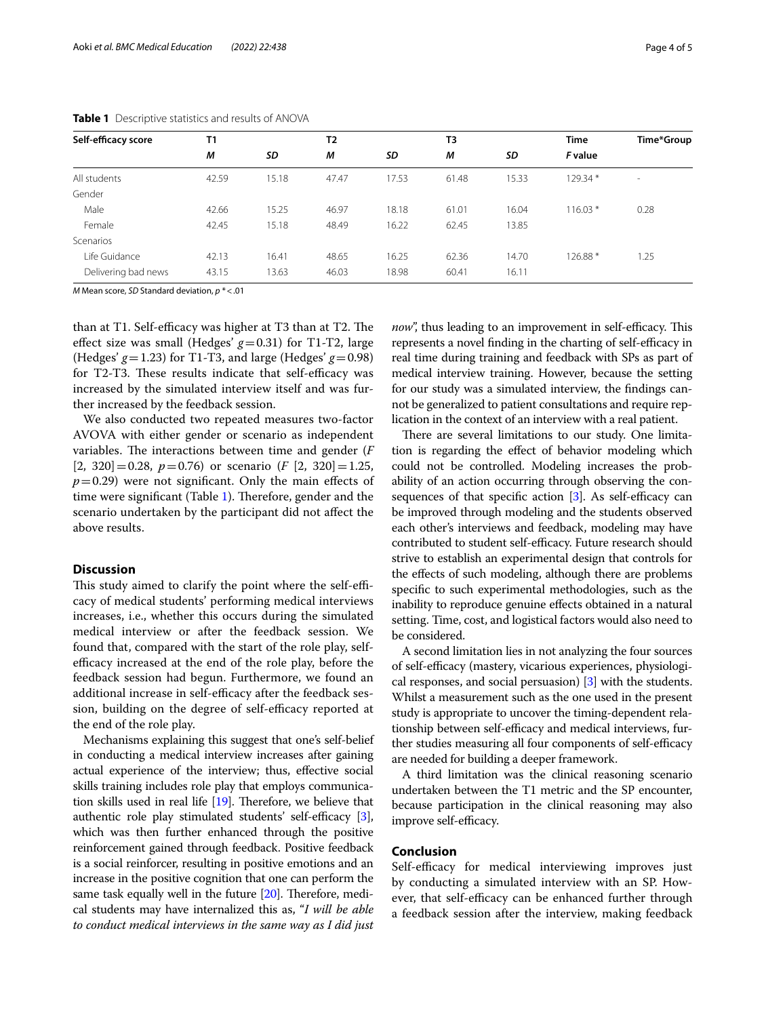| Self-efficacy score | T1    |       | T <sub>2</sub> |       | T <sub>3</sub> |       | <b>Time</b> | Time*Group               |
|---------------------|-------|-------|----------------|-------|----------------|-------|-------------|--------------------------|
|                     | М     | SD    | М              | SD    | M              | SD    | F value     |                          |
| All students        | 42.59 | 15.18 | 47.47          | 17.53 | 61.48          | 15.33 | 129.34 *    | $\overline{\phantom{a}}$ |
| Gender              |       |       |                |       |                |       |             |                          |
| Male                | 42.66 | 15.25 | 46.97          | 18.18 | 61.01          | 16.04 | $116.03*$   | 0.28                     |
| Female              | 42.45 | 15.18 | 48.49          | 16.22 | 62.45          | 13.85 |             |                          |
| Scenarios           |       |       |                |       |                |       |             |                          |
| Life Guidance       | 42.13 | 16.41 | 48.65          | 16.25 | 62.36          | 14.70 | 126.88 *    | 1.25                     |
| Delivering bad news | 43.15 | 13.63 | 46.03          | 18.98 | 60.41          | 16.11 |             |                          |

<span id="page-3-0"></span>**Table 1** Descriptive statistics and results of ANOVA

*M* Mean score, *SD* Standard deviation, *p* \*<.01

than at T1. Self-efficacy was higher at T3 than at T2. The effect size was small (Hedges'  $g=0.31$ ) for T1-T2, large (Hedges'  $g=1.23$ ) for T1-T3, and large (Hedges'  $g=0.98$ ) for T2-T3. These results indicate that self-efficacy was increased by the simulated interview itself and was further increased by the feedback session.

We also conducted two repeated measures two-factor AVOVA with either gender or scenario as independent variables. The interactions between time and gender (*F*  $[2, 320] = 0.28$ ,  $p = 0.76$ ) or scenario  $(F [2, 320] = 1.25$ ,  $p=0.29$ ) were not significant. Only the main effects of time were significant (Table  $1$ ). Therefore, gender and the scenario undertaken by the participant did not afect the above results.

## **Discussion**

This study aimed to clarify the point where the self-efficacy of medical students' performing medical interviews increases, i.e., whether this occurs during the simulated medical interview or after the feedback session. We found that, compared with the start of the role play, selfefficacy increased at the end of the role play, before the feedback session had begun. Furthermore, we found an additional increase in self-efficacy after the feedback session, building on the degree of self-efficacy reported at the end of the role play.

Mechanisms explaining this suggest that one's self-belief in conducting a medical interview increases after gaining actual experience of the interview; thus, efective social skills training includes role play that employs communication skills used in real life  $[19]$  $[19]$  $[19]$ . Therefore, we believe that authentic role play stimulated students' self-efficacy  $[3]$  $[3]$ , which was then further enhanced through the positive reinforcement gained through feedback. Positive feedback is a social reinforcer, resulting in positive emotions and an increase in the positive cognition that one can perform the same task equally well in the future  $[20]$  $[20]$ . Therefore, medical students may have internalized this as, "*I will be able to conduct medical interviews in the same way as I did just*  *now*", thus leading to an improvement in self-efficacy. This represents a novel finding in the charting of self-efficacy in real time during training and feedback with SPs as part of medical interview training. However, because the setting for our study was a simulated interview, the fndings cannot be generalized to patient consultations and require replication in the context of an interview with a real patient.

There are several limitations to our study. One limitation is regarding the efect of behavior modeling which could not be controlled. Modeling increases the probability of an action occurring through observing the consequences of that specific action  $[3]$  $[3]$  $[3]$ . As self-efficacy can be improved through modeling and the students observed each other's interviews and feedback, modeling may have contributed to student self-efficacy. Future research should strive to establish an experimental design that controls for the efects of such modeling, although there are problems specifc to such experimental methodologies, such as the inability to reproduce genuine efects obtained in a natural setting. Time, cost, and logistical factors would also need to be considered.

A second limitation lies in not analyzing the four sources of self-efficacy (mastery, vicarious experiences, physiological responses, and social persuasion) [[3](#page-4-2)] with the students. Whilst a measurement such as the one used in the present study is appropriate to uncover the timing-dependent relationship between self-efficacy and medical interviews, further studies measuring all four components of self-efficacy are needed for building a deeper framework.

A third limitation was the clinical reasoning scenario undertaken between the T1 metric and the SP encounter, because participation in the clinical reasoning may also improve self-efficacy.

# **Conclusion**

Self-efficacy for medical interviewing improves just by conducting a simulated interview with an SP. However, that self-efficacy can be enhanced further through a feedback session after the interview, making feedback